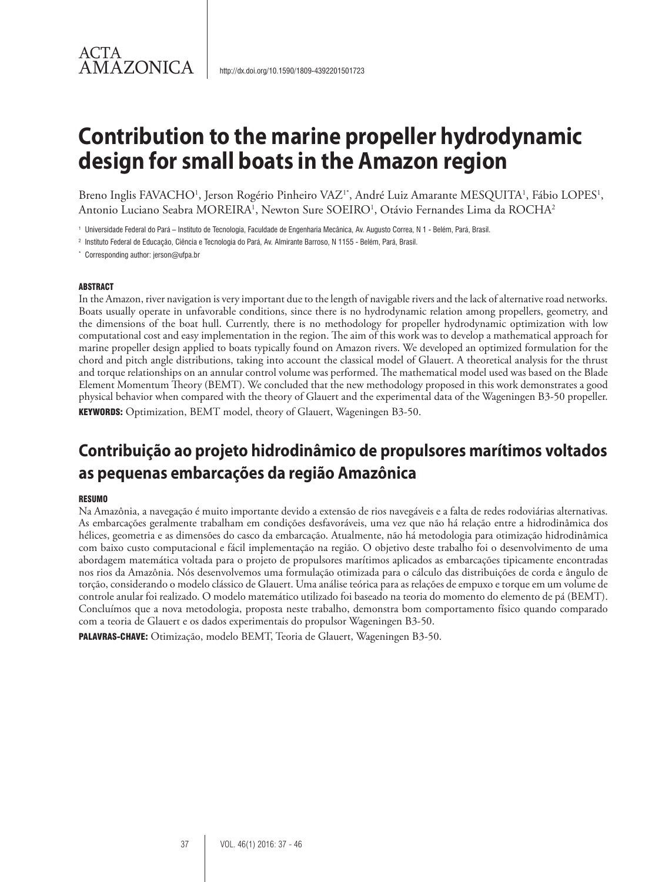Breno Inglis FAVACHO<sup>1</sup>, Jerson Rogério Pinheiro VAZ<sup>1\*</sup>, André Luiz Amarante MESQUITA<sup>1</sup>, Fábio LOPES<sup>1</sup>, Antonio Luciano Seabra MOREIRA<sup>1</sup>, Newton Sure SOEIRO<sup>1</sup>, Otávio Fernandes Lima da ROCHA<sup>2</sup>

<sup>1</sup> Universidade Federal do Pará – Instituto de Tecnologia, Faculdade de Engenharia Mecânica, Av. Augusto Correa, N 1 - Belém, Pará, Brasil.

<sup>2</sup> Instituto Federal de Educação, Ciência e Tecnologia do Pará, Av. Almirante Barroso, N 1155 - Belém, Pará, Brasil.

\* Corresponding author: jerson@ufpa.br

#### ABSTRACT

ACTA

**AMAZONICA** 

In the Amazon, river navigation is very important due to the length of navigable rivers and the lack of alternative road networks. Boats usually operate in unfavorable conditions, since there is no hydrodynamic relation among propellers, geometry, and the dimensions of the boat hull. Currently, there is no methodology for propeller hydrodynamic optimization with low computational cost and easy implementation in the region. The aim of this work was to develop a mathematical approach for marine propeller design applied to boats typically found on Amazon rivers. We developed an optimized formulation for the chord and pitch angle distributions, taking into account the classical model of Glauert. A theoretical analysis for the thrust and torque relationships on an annular control volume was performed. The mathematical model used was based on the Blade Element Momentum Theory (BEMT). We concluded that the new methodology proposed in this work demonstrates a good physical behavior when compared with the theory of Glauert and the experimental data of the Wageningen B3-50 propeller. KEYWORDS: Optimization, BEMT model, theory of Glauert, Wageningen B3-50.

## **Contribuição ao projeto hidrodinâmico de propulsores marítimos voltados as pequenas embarcações da região Amazônica**

#### **RESUMO**

Na Amazônia, a navegação é muito importante devido a extensão de rios navegáveis e a falta de redes rodoviárias alternativas. As embarcações geralmente trabalham em condições desfavoráveis, uma vez que não há relação entre a hidrodinâmica dos hélices, geometria e as dimensões do casco da embarcação. Atualmente, não há metodologia para otimização hidrodinâmica com baixo custo computacional e fácil implementação na região. O objetivo deste trabalho foi o desenvolvimento de uma abordagem matemática voltada para o projeto de propulsores marítimos aplicados as embarcações tipicamente encontradas nos rios da Amazônia. Nós desenvolvemos uma formulação otimizada para o cálculo das distribuições de corda e ângulo de torção, considerando o modelo clássico de Glauert. Uma análise teórica para as relações de empuxo e torque em um volume de controle anular foi realizado. O modelo matemático utilizado foi baseado na teoria do momento do elemento de pá (BEMT). Concluímos que a nova metodologia, proposta neste trabalho, demonstra bom comportamento físico quando comparado com a teoria de Glauert e os dados experimentais do propulsor Wageningen B3-50.

PALAVRAS-CHAVE: Otimização, modelo BEMT, Teoria de Glauert, Wageningen B3-50.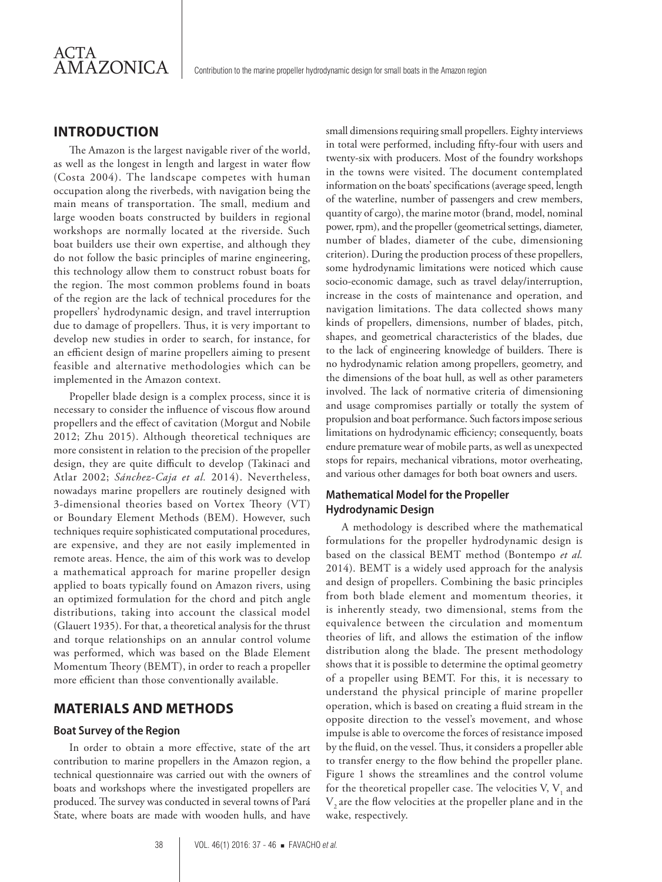## **INTRODUCTION**

The Amazon is the largest navigable river of the world, as well as the longest in length and largest in water flow (Costa 2004). The landscape competes with human occupation along the riverbeds, with navigation being the main means of transportation. The small, medium and large wooden boats constructed by builders in regional workshops are normally located at the riverside. Such boat builders use their own expertise, and although they do not follow the basic principles of marine engineering, this technology allow them to construct robust boats for the region. The most common problems found in boats of the region are the lack of technical procedures for the propellers' hydrodynamic design, and travel interruption due to damage of propellers. Thus, it is very important to develop new studies in order to search, for instance, for an efficient design of marine propellers aiming to present feasible and alternative methodologies which can be implemented in the Amazon context.

Propeller blade design is a complex process, since it is necessary to consider the influence of viscous flow around propellers and the effect of cavitation (Morgut and Nobile 2012; Zhu 2015). Although theoretical techniques are more consistent in relation to the precision of the propeller design, they are quite difficult to develop (Takinaci and Atlar 2002; *Sánchez-Caja et al.* 2014). Nevertheless, nowadays marine propellers are routinely designed with 3-dimensional theories based on Vortex Theory (VT) or Boundary Element Methods (BEM). However, such techniques require sophisticated computational procedures, are expensive, and they are not easily implemented in remote areas. Hence, the aim of this work was to develop a mathematical approach for marine propeller design applied to boats typically found on Amazon rivers, using an optimized formulation for the chord and pitch angle distributions, taking into account the classical model (Glauert 1935). For that, a theoretical analysis for the thrust and torque relationships on an annular control volume was performed, which was based on the Blade Element Momentum Theory (BEMT), in order to reach a propeller more efficient than those conventionally available.

## **MATERIALS AND METHODS**

#### **Boat Survey of the Region**

In order to obtain a more effective, state of the art contribution to marine propellers in the Amazon region, a technical questionnaire was carried out with the owners of boats and workshops where the investigated propellers are produced. The survey was conducted in several towns of Pará State, where boats are made with wooden hulls, and have

small dimensions requiring small propellers. Eighty interviews in total were performed, including fifty-four with users and twenty-six with producers. Most of the foundry workshops in the towns were visited. The document contemplated information on the boats' specifications (average speed, length of the waterline, number of passengers and crew members, quantity of cargo), the marine motor (brand, model, nominal power, rpm), and the propeller (geometrical settings, diameter, number of blades, diameter of the cube, dimensioning criterion). During the production process of these propellers, some hydrodynamic limitations were noticed which cause socio-economic damage, such as travel delay/interruption, increase in the costs of maintenance and operation, and navigation limitations. The data collected shows many kinds of propellers, dimensions, number of blades, pitch, shapes, and geometrical characteristics of the blades, due to the lack of engineering knowledge of builders. There is no hydrodynamic relation among propellers, geometry, and the dimensions of the boat hull, as well as other parameters involved. The lack of normative criteria of dimensioning and usage compromises partially or totally the system of propulsion and boat performance. Such factors impose serious limitations on hydrodynamic efficiency; consequently, boats endure premature wear of mobile parts, as well as unexpected stops for repairs, mechanical vibrations, motor overheating, and various other damages for both boat owners and users.

## **Mathematical Model for the Propeller Hydrodynamic Design**

A methodology is described where the mathematical formulations for the propeller hydrodynamic design is based on the classical BEMT method (Bontempo *et al.* 2014). BEMT is a widely used approach for the analysis and design of propellers. Combining the basic principles from both blade element and momentum theories, it is inherently steady, two dimensional, stems from the equivalence between the circulation and momentum theories of lift, and allows the estimation of the inflow distribution along the blade. The present methodology shows that it is possible to determine the optimal geometry of a propeller using BEMT. For this, it is necessary to understand the physical principle of marine propeller operation, which is based on creating a fluid stream in the opposite direction to the vessel's movement, and whose impulse is able to overcome the forces of resistance imposed by the fluid, on the vessel. Thus, it considers a propeller able to transfer energy to the flow behind the propeller plane. Figure 1 shows the streamlines and the control volume for the theoretical propeller case. The velocities V,  $V_1$  and V, are the flow velocities at the propeller plane and in the wake, respectively.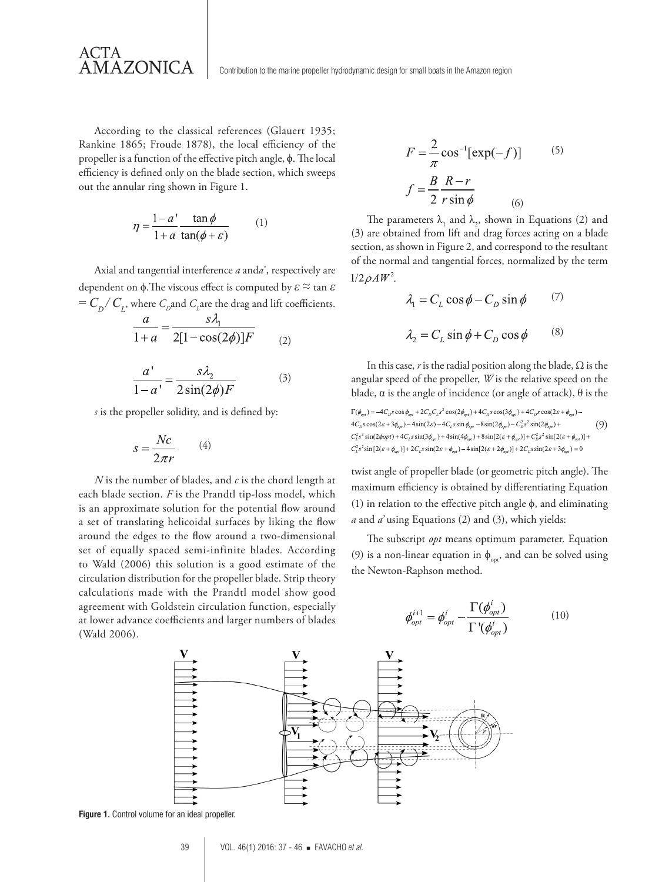According to the classical references (Glauert 1935; Rankine 1865; Froude 1878), the local efficiency of the propeller is a function of the effective pitch angle, ϕ. The local efficiency is defined only on the blade section, which sweeps out the annular ring shown in Figure 1.

ACTA<br>AMAZONICA

$$
\eta = \frac{1 - a'}{1 + a} \frac{\tan \phi}{\tan(\phi + \varepsilon)} \tag{1}
$$

Axial and tangential interference *a* and*a*', respectively are dependent on ϕ.The viscous effect is computed by *ε* ≈ tan *ε*  $=C_D/C_L$ , where  $C_D$  and  $C_L$  are the drag and lift coefficients.

$$
\frac{a}{1+a} = \frac{s\lambda_1}{2[1-\cos(2\phi)]F}
$$
 (2)

$$
\frac{a'}{1-a'} = \frac{s\lambda_2}{2\sin(2\phi)F}
$$
 (3)

*s* is the propeller solidity, and is defined by:

$$
s = \frac{Nc}{2\pi r} \qquad (4)
$$

*N* is the number of blades, and *c* is the chord length at each blade section. *F* is the Prandtl tip-loss model, which is an approximate solution for the potential flow around a set of translating helicoidal surfaces by liking the flow around the edges to the flow around a two-dimensional set of equally spaced semi-infinite blades. According to Wald (2006) this solution is a good estimate of the circulation distribution for the propeller blade. Strip theory calculations made with the Prandtl model show good agreement with Goldstein circulation function, especially at lower advance coefficients and larger numbers of blades (Wald 2006).

$$
F = \frac{2}{\pi} \cos^{-1} [\exp(-f)] \tag{5}
$$

$$
f = \frac{B}{2} \frac{R - r}{r \sin \phi} \tag{6}
$$

The parameters  $\lambda_1$  and  $\lambda_2$ , shown in Equations (2) and (3) are obtained from lift and drag forces acting on a blade section, as shown in Figure 2, and correspond to the resultant of the normal and tangential forces, normalized by the term  $1/2 \rho A W^2$ .

$$
\lambda_1 = C_L \cos \phi - C_D \sin \phi \qquad (7)
$$

$$
\lambda_2 = C_L \sin \phi + C_D \cos \phi \qquad (8)
$$

In this case, *r* is the radial position along the blade,  $\Omega$  is the angular speed of the propeller, *W* is the relative speed on the blade,  $\alpha$  is the angle of incidence (or angle of attack),  $\theta$  is the

 $\Gamma(\phi_{opt}) = -4C_D s \cos \phi_{opt} + 2C_D C_L s^2 \cos(2\phi_{opt}) + 4C_D s \cos(3\phi_{opt}) + 4C_D s \cos(2\varepsilon + \phi_{opt}) 4C_{D}s\cos(2\varepsilon+3\phi_{\text{out}})-4\sin(2\varepsilon)-4C_{L}s\sin\phi_{\text{out}}-8\sin(2\phi_{\text{out}})-C_{D}^{2}s^{2}\sin(2\phi_{\text{out}})+$ (9)  $C_L^2 s^2 \sin(2\phi opt) + 4C_L s \sin(3\phi_{opt}) + 4 \sin(4\phi_{opt}) + 8 \sin[2(\varepsilon + \phi_{opt})] + C_D^2 s^2 \sin[2(\varepsilon + \phi_{opt})] +$  $C_L^2 s^2 \sin[2(\varepsilon + \phi_{\text{out}})] + 2C_L s \sin(2\varepsilon + \phi_{\text{out}}) - 4 \sin[2(\varepsilon + 2\phi_{\text{out}})] + 2C_L s \sin(2\varepsilon + 3\phi_{\text{out}}) = 0$ 

twist angle of propeller blade (or geometric pitch angle). The maximum efficiency is obtained by differentiating Equation (1) in relation to the effective pitch angle  $\phi$ , and eliminating *a* and *a'* using Equations (2) and (3), which yields:

The subscript *opt* means optimum parameter. Equation (9) is a non-linear equation in  $\phi_{\text{opt}}$ , and can be solved using the Newton-Raphson method.

$$
\phi_{opt}^{i+1} = \phi_{opt}^i - \frac{\Gamma(\phi_{opt}^i)}{\Gamma'(\phi_{opt}^i)}
$$
(10)



**Figure 1.** Control volume for an ideal propeller.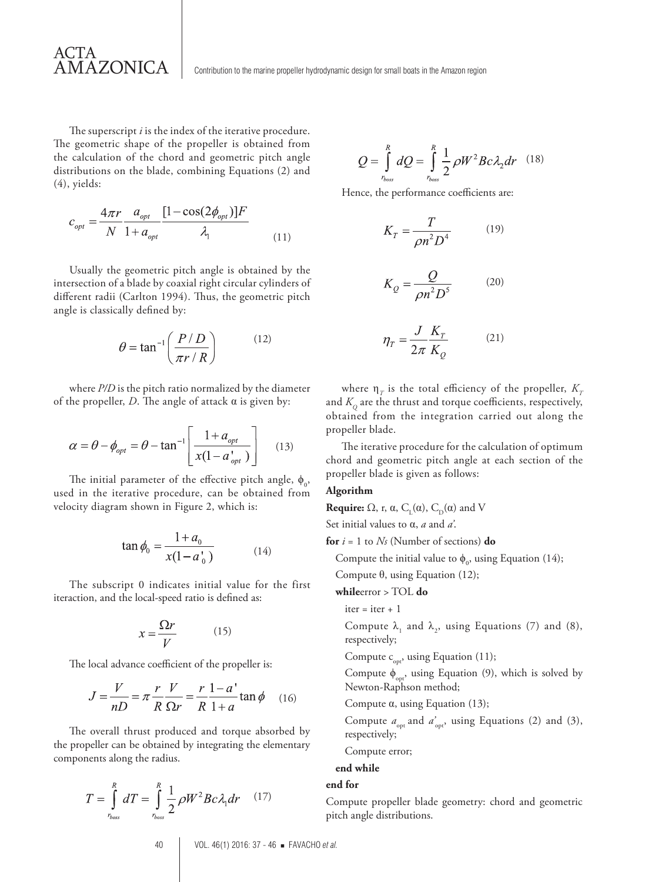The superscript *i* is the index of the iterative procedure. The geometric shape of the propeller is obtained from the calculation of the chord and geometric pitch angle distributions on the blade, combining Equations (2) and (4), yields:

ACTA

AMAZONICA

$$
c_{opt} = \frac{4\pi r}{N} \frac{a_{opt}}{1 + a_{opt}} \frac{[1 - \cos(2\phi_{opt})]F}{\lambda_1}
$$
(11)

Usually the geometric pitch angle is obtained by the intersection of a blade by coaxial right circular cylinders of different radii (Carlton 1994). Thus, the geometric pitch angle is classically defined by:

$$
\theta = \tan^{-1}\left(\frac{P/D}{\pi r/R}\right) \tag{12}
$$

where *P/D* is the pitch ratio normalized by the diameter of the propeller, *D*. The angle of attack  $\alpha$  is given by:

$$
\alpha = \theta - \phi_{opt} = \theta - \tan^{-1} \left[ \frac{1 + a_{opt}}{x(1 - a_{opt})} \right]
$$
 (13)

The initial parameter of the effective pitch angle,  $\phi_{0}$ , used in the iterative procedure, can be obtained from velocity diagram shown in Figure 2, which is:

$$
\tan \phi_0 = \frac{1 + a_0}{x(1 - a'_0)}\tag{14}
$$

The subscript 0 indicates initial value for the first iteraction, and the local-speed ratio is defined as:

$$
x = \frac{\Omega r}{V} \tag{15}
$$

The local advance coefficient of the propeller is:

$$
J = \frac{V}{nD} = \pi \frac{r}{R} \frac{V}{\Omega r} = \frac{r}{R} \frac{1 - a'}{1 + a} \tan \phi \quad (16)
$$

The overall thrust produced and torque absorbed by the propeller can be obtained by integrating the elementary components along the radius.

$$
T = \int_{r_{\text{bos}}}^{R} dT = \int_{r_{\text{bos}}}^{R} \frac{1}{2} \rho W^2 B c \lambda_1 dr \quad (17)
$$

$$
Q = \int_{r_{\text{loss}}}^{R} dQ = \int_{r_{\text{loss}}}^{R} \frac{1}{2} \rho W^2 B c \lambda_2 dr \quad (18)
$$

Hence, the performance coefficients are:

$$
K_T = \frac{T}{\rho n^2 D^4} \tag{19}
$$

$$
K_Q = \frac{Q}{\rho n^2 D^5} \tag{20}
$$

$$
\eta_T = \frac{J}{2\pi} \frac{K_T}{K_O} \tag{21}
$$

where  $\eta_{\tau}$  is the total efficiency of the propeller,  $K_{\tau}$ and  $K<sub>O</sub>$  are the thrust and torque coefficients, respectively, obtained from the integration carried out along the propeller blade.

The iterative procedure for the calculation of optimum chord and geometric pitch angle at each section of the propeller blade is given as follows:

#### **Algorithm**

**Require:**  $\Omega$ , r,  $\alpha$ ,  $C_{L}(\alpha)$ ,  $C_{D}(\alpha)$  and V Set initial values to α, *a* and *a'*.

**for**  $i = 1$  to  $N_s$  (Number of sections) **do** 

Compute the initial value to  $\phi_0$ , using Equation (14);

Compute θ, using Equation (12);

#### **while**error > TOL **do**

 $iter = iter + 1$ 

Compute  $\lambda_1$  and  $\lambda_2$ , using Equations (7) and (8), respectively;

Compute  $c_{\text{opt}}$ , using Equation (11);

Compute  $\phi_{\text{opt}}$ , using Equation (9), which is solved by Newton-Raphson method;

Compute  $\alpha$ , using Equation (13);

Compute  $a_{\text{opt}}$  and  $a_{\text{opt}}'$ , using Equations (2) and (3), respectively;

#### Compute error;

**end while**

#### **end for**

Compute propeller blade geometry: chord and geometric pitch angle distributions.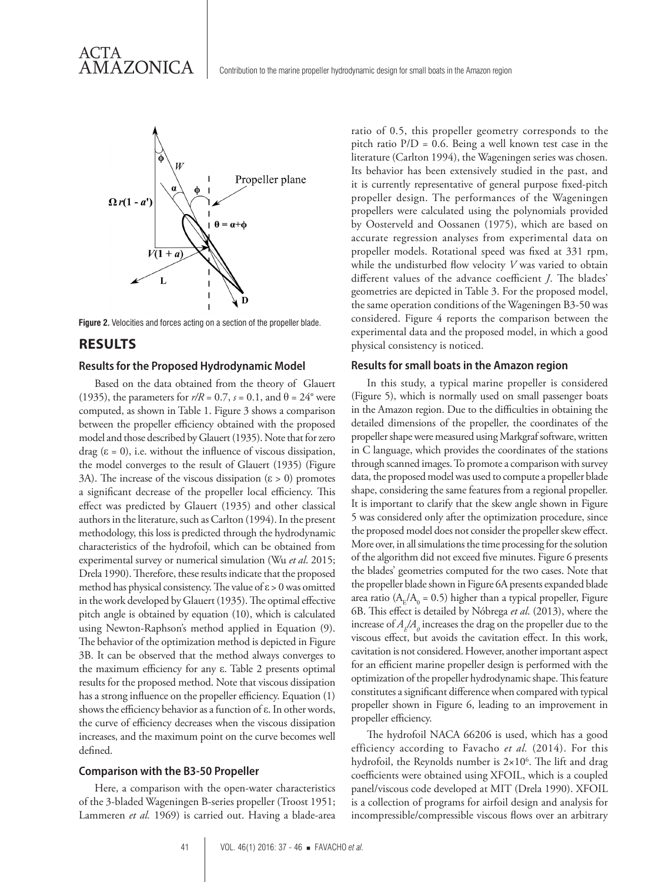

**Figure 2.** Velocities and forces acting on a section of the propeller blade.

## **RESULTS**

#### **Results for the Proposed Hydrodynamic Model**

Based on the data obtained from the theory of Glauert (1935), the parameters for  $r/R = 0.7$ ,  $s = 0.1$ , and  $\theta = 24^{\circ}$  were computed, as shown in Table 1. Figure 3 shows a comparison between the propeller efficiency obtained with the proposed model and those described by Glauert (1935). Note that for zero drag  $(\epsilon = 0)$ , i.e. without the influence of viscous dissipation, the model converges to the result of Glauert (1935) (Figure 3A). The increase of the viscous dissipation ( $\varepsilon > 0$ ) promotes a significant decrease of the propeller local efficiency. This effect was predicted by Glauert (1935) and other classical authors in the literature, such as Carlton (1994). In the present methodology, this loss is predicted through the hydrodynamic characteristics of the hydrofoil, which can be obtained from experimental survey or numerical simulation (Wu *et al*. 2015; Drela 1990). Therefore, these results indicate that the proposed method has physical consistency. The value of  $\varepsilon > 0$  was omitted in the work developed by Glauert (1935). The optimal effective pitch angle is obtained by equation (10), which is calculated using Newton-Raphson's method applied in Equation (9). The behavior of the optimization method is depicted in Figure 3B. It can be observed that the method always converges to the maximum efficiency for any ε. Table 2 presents optimal results for the proposed method. Note that viscous dissipation has a strong influence on the propeller efficiency. Equation (1) shows the efficiency behavior as a function of ε. In other words, the curve of efficiency decreases when the viscous dissipation increases, and the maximum point on the curve becomes well defined.

#### **Comparison with the B3-50 Propeller**

Here, a comparison with the open-water characteristics of the 3-bladed Wageningen B-series propeller (Troost 1951; Lammeren *et al.* 1969) is carried out. Having a blade-area

ratio of 0.5, this propeller geometry corresponds to the pitch ratio  $P/D = 0.6$ . Being a well known test case in the literature (Carlton 1994), the Wageningen series was chosen. Its behavior has been extensively studied in the past, and it is currently representative of general purpose fixed-pitch propeller design. The performances of the Wageningen propellers were calculated using the polynomials provided by Oosterveld and Oossanen (1975), which are based on accurate regression analyses from experimental data on propeller models. Rotational speed was fixed at 331 rpm, while the undisturbed flow velocity *V* was varied to obtain different values of the advance coefficient *J*. The blades' geometries are depicted in Table 3. For the proposed model, the same operation conditions of the Wageningen B3-50 was considered. Figure 4 reports the comparison between the experimental data and the proposed model, in which a good physical consistency is noticed.

#### **Results for small boats in the Amazon region**

In this study, a typical marine propeller is considered (Figure 5), which is normally used on small passenger boats in the Amazon region. Due to the difficulties in obtaining the detailed dimensions of the propeller, the coordinates of the propeller shape were measured using Markgraf software, written in C language, which provides the coordinates of the stations through scanned images. To promote a comparison with survey data, the proposed model was used to compute a propeller blade shape, considering the same features from a regional propeller. It is important to clarify that the skew angle shown in Figure 5 was considered only after the optimization procedure, since the proposed model does not consider the propeller skew effect. More over, in all simulations the time processing for the solution of the algorithm did not exceed five minutes. Figure 6 presents the blades' geometries computed for the two cases. Note that the propeller blade shown in Figure 6A presents expanded blade area ratio ( $A_E/A_0 = 0.5$ ) higher than a typical propeller, Figure 6B. This effect is detailed by Nóbrega *et al*. (2013), where the increase of  $A_{\rm E}/A_{\rm o}$  increases the drag on the propeller due to the viscous effect, but avoids the cavitation effect. In this work, cavitation is not considered. However, another important aspect for an efficient marine propeller design is performed with the optimization of the propeller hydrodynamic shape. This feature constitutes a significant difference when compared with typical propeller shown in Figure 6, leading to an improvement in propeller efficiency.

The hydrofoil NACA 66206 is used, which has a good efficiency according to Favacho *et al.* (2014). For this hydrofoil, the Reynolds number is  $2 \times 10^6$ . The lift and drag coefficients were obtained using XFOIL, which is a coupled panel/viscous code developed at MIT (Drela 1990). XFOIL is a collection of programs for airfoil design and analysis for incompressible/compressible viscous flows over an arbitrary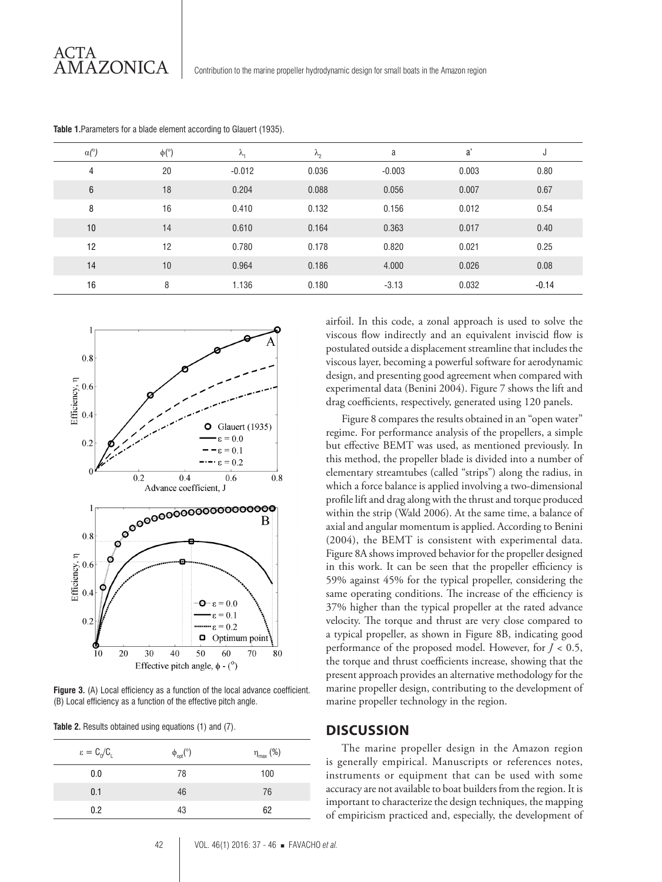| $\alpha$ <sup>o</sup> ) | $\phi$ <sup>(°)</sup> | $\sim$<br>Λ, | $\lambda_{2}$ | a        | a'    | J       |
|-------------------------|-----------------------|--------------|---------------|----------|-------|---------|
| 4                       | 20                    | $-0.012$     | 0.036         | $-0.003$ | 0.003 | 0.80    |
| 6                       | 18                    | 0.204        | 0.088         | 0.056    | 0.007 | 0.67    |
| 8                       | 16                    | 0.410        | 0.132         | 0.156    | 0.012 | 0.54    |
| 10                      | 14                    | 0.610        | 0.164         | 0.363    | 0.017 | 0.40    |
| 12                      | 12                    | 0.780        | 0.178         | 0.820    | 0.021 | 0.25    |
| 14                      | 10                    | 0.964        | 0.186         | 4.000    | 0.026 | 0.08    |
| 16                      | 8                     | 1.136        | 0.180         | $-3.13$  | 0.032 | $-0.14$ |

**Table 1.**Parameters for a blade element according to Glauert (1935).



**Figure 3.** (A) Local efficiency as a function of the local advance coefficient. (B) Local efficiency as a function of the effective pitch angle.

| Table 2. Results obtained using equations (1) and (7). |  |  |  |  |
|--------------------------------------------------------|--|--|--|--|
|                                                        |  |  |  |  |

| $\varepsilon = C_0/C_1$ | $\phi_{opt}$ <sup>(°)</sup> | $\eta_{\text{max}}$ (%) |
|-------------------------|-----------------------------|-------------------------|
| 0.0                     | 78                          | 100                     |
| 0.1                     | 46                          | 76                      |
| 0.2                     | 43                          | 62                      |

airfoil. In this code, a zonal approach is used to solve the viscous flow indirectly and an equivalent inviscid flow is postulated outside a displacement streamline that includes the viscous layer, becoming a powerful software for aerodynamic design, and presenting good agreement when compared with experimental data (Benini 2004). Figure 7 shows the lift and drag coefficients, respectively, generated using 120 panels.

Figure 8 compares the results obtained in an "open water" regime. For performance analysis of the propellers, a simple but effective BEMT was used, as mentioned previously. In this method, the propeller blade is divided into a number of elementary streamtubes (called "strips") along the radius, in which a force balance is applied involving a two-dimensional profile lift and drag along with the thrust and torque produced within the strip (Wald 2006). At the same time, a balance of axial and angular momentum is applied. According to Benini (2004), the BEMT is consistent with experimental data. Figure 8A shows improved behavior for the propeller designed in this work. It can be seen that the propeller efficiency is 59% against 45% for the typical propeller, considering the same operating conditions. The increase of the efficiency is 37% higher than the typical propeller at the rated advance velocity. The torque and thrust are very close compared to a typical propeller, as shown in Figure 8B, indicating good performance of the proposed model. However, for *J <* 0.5, the torque and thrust coefficients increase, showing that the present approach provides an alternative methodology for the marine propeller design, contributing to the development of marine propeller technology in the region.

## **DISCUSSION**

The marine propeller design in the Amazon region is generally empirical. Manuscripts or references notes, instruments or equipment that can be used with some accuracy are not available to boat builders from the region. It is important to characterize the design techniques, the mapping of empiricism practiced and, especially, the development of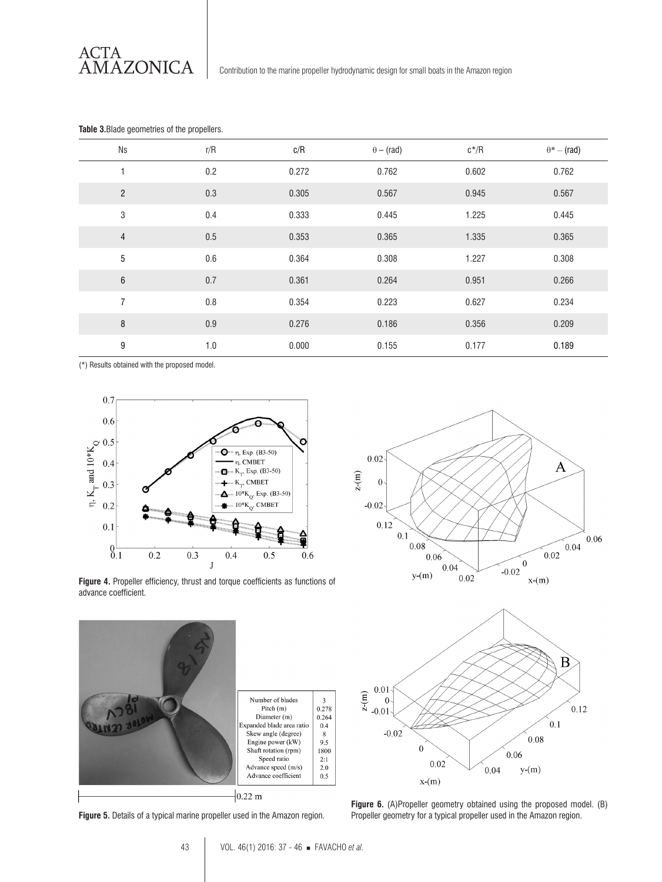ACTA<br>AMAZONICA

| <b>Ns</b>      | r/R     | c/R   | $\theta$ – (rad) | $c^*/R$ | $\theta^*$ – (rad) |
|----------------|---------|-------|------------------|---------|--------------------|
| 1              | 0.2     | 0.272 | 0.762            | 0.602   | 0.762              |
| $\overline{c}$ | 0.3     | 0.305 | 0.567            | 0.945   | 0.567              |
| 3              | 0.4     | 0.333 | 0.445            | 1.225   | 0.445              |
| $\overline{4}$ | 0.5     | 0.353 | 0.365            | 1.335   | 0.365              |
| 5              | 0.6     | 0.364 | 0.308            | 1.227   | 0.308              |
| $\,6\,$        | 0.7     | 0.361 | 0.264            | 0.951   | 0.266              |
| $\overline{7}$ | 0.8     | 0.354 | 0.223            | 0.627   | 0.234              |
| 8              | 0.9     | 0.276 | 0.186            | 0.356   | 0.209              |
| 9              | $1.0\,$ | 0.000 | 0.155            | 0.177   | 0.189              |

#### **Table 3.**Blade geometries of the propellers.

(\*) Results obtained with the proposed model.



**Figure 4.** Propeller efficiency, thrust and torque coefficients as functions of advance coefficient.



**Figure 5.** Details of a typical marine propeller used in the Amazon region.





**Figure 6.** (A)Propeller geometry obtained using the proposed model. (B) Propeller geometry for a typical propeller used in the Amazon region.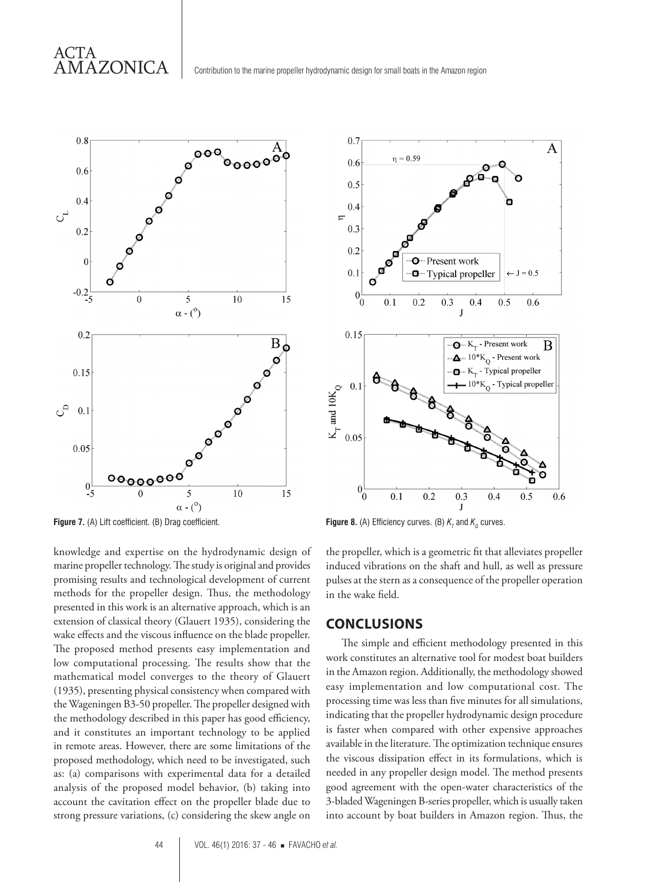

**Figure 7.** (A) Lift coefficient. (B) Drag coefficient.

knowledge and expertise on the hydrodynamic design of marine propeller technology. The study is original and provides promising results and technological development of current methods for the propeller design. Thus, the methodology presented in this work is an alternative approach, which is an extension of classical theory (Glauert 1935), considering the wake effects and the viscous influence on the blade propeller. The proposed method presents easy implementation and low computational processing. The results show that the mathematical model converges to the theory of Glauert (1935), presenting physical consistency when compared with the Wageningen B3-50 propeller. The propeller designed with the methodology described in this paper has good efficiency, and it constitutes an important technology to be applied in remote areas. However, there are some limitations of the proposed methodology, which need to be investigated, such as: (a) comparisons with experimental data for a detailed analysis of the proposed model behavior, (b) taking into account the cavitation effect on the propeller blade due to strong pressure variations, (c) considering the skew angle on



**Figure 8.** (A) Efficiency curves. (B)  $K_r$  and  $K_o$  curves.

the propeller, which is a geometric fit that alleviates propeller induced vibrations on the shaft and hull, as well as pressure pulses at the stern as a consequence of the propeller operation in the wake field.

## **CONCLUSIONS**

The simple and efficient methodology presented in this work constitutes an alternative tool for modest boat builders in the Amazon region. Additionally, the methodology showed easy implementation and low computational cost. The processing time was less than five minutes for all simulations, indicating that the propeller hydrodynamic design procedure is faster when compared with other expensive approaches available in the literature. The optimization technique ensures the viscous dissipation effect in its formulations, which is needed in any propeller design model. The method presents good agreement with the open-water characteristics of the 3-bladed Wageningen B-series propeller, which is usually taken into account by boat builders in Amazon region. Thus, the